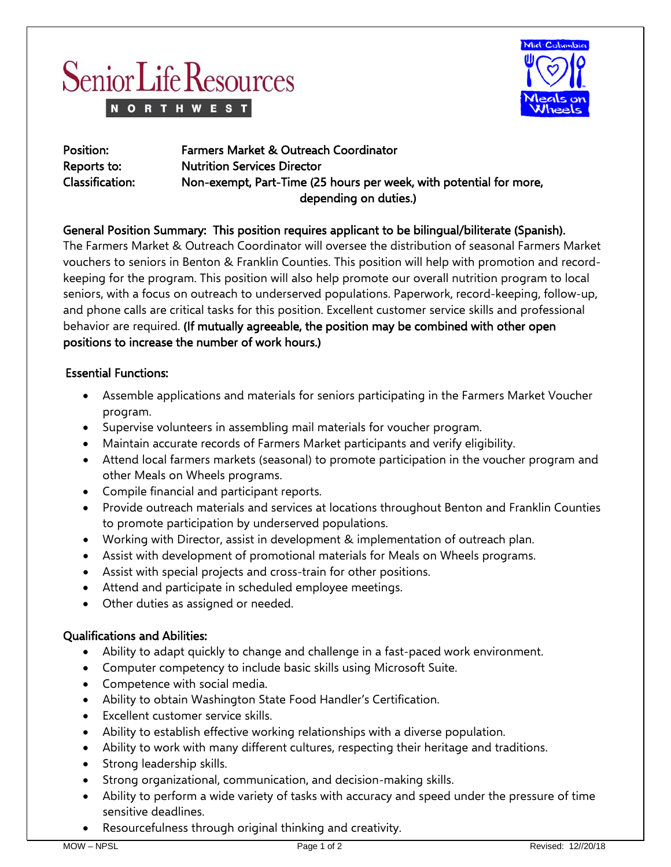



| Position:       | <b>Farmers Market &amp; Outreach Coordinator</b>                   |
|-----------------|--------------------------------------------------------------------|
| Reports to:     | <b>Nutrition Services Director</b>                                 |
| Classification: | Non-exempt, Part-Time (25 hours per week, with potential for more, |
|                 | depending on duties.)                                              |

# General Position Summary: This position requires applicant to be bilingual/biliterate (Spanish).

The Farmers Market & Outreach Coordinator will oversee the distribution of seasonal Farmers Market vouchers to seniors in Benton & Franklin Counties. This position will help with promotion and recordkeeping for the program. This position will also help promote our overall nutrition program to local seniors, with a focus on outreach to underserved populations. Paperwork, record-keeping, follow-up, and phone calls are critical tasks for this position. Excellent customer service skills and professional behavior are required. (If mutually agreeable, the position may be combined with other open positions to increase the number of work hours.)

## Essential Functions:

- Assemble applications and materials for seniors participating in the Farmers Market Voucher program.
- Supervise volunteers in assembling mail materials for voucher program.
- Maintain accurate records of Farmers Market participants and verify eligibility.
- Attend local farmers markets (seasonal) to promote participation in the voucher program and other Meals on Wheels programs.
- Compile financial and participant reports.
- Provide outreach materials and services at locations throughout Benton and Franklin Counties to promote participation by underserved populations.
- Working with Director, assist in development & implementation of outreach plan.
- Assist with development of promotional materials for Meals on Wheels programs.
- Assist with special projects and cross-train for other positions.
- Attend and participate in scheduled employee meetings.
- Other duties as assigned or needed.

## Qualifications and Abilities:

- Ability to adapt quickly to change and challenge in a fast-paced work environment.
- Computer competency to include basic skills using Microsoft Suite.
- Competence with social media.
- Ability to obtain Washington State Food Handler's Certification.
- Excellent customer service skills.
- Ability to establish effective working relationships with a diverse population.
- Ability to work with many different cultures, respecting their heritage and traditions.
- Strong leadership skills.
- Strong organizational, communication, and decision-making skills.
- Ability to perform a wide variety of tasks with accuracy and speed under the pressure of time sensitive deadlines.
- Resourcefulness through original thinking and creativity.